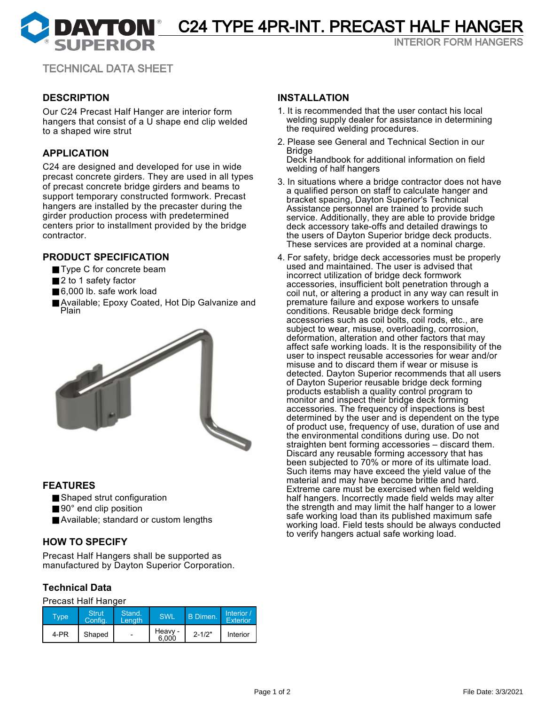DAYTON<sup>®</sup> C24 TYPE 4PR-INT. PRECAST HALF HANGER

INTERIOR FORM HANGERS

TECHNICAL DATA SHEET

## **DESCRIPTION**

Our C24 Precast Half Hanger are interior form hangers that consist of a U shape end clip welded to a shaped wire strut

## **APPLICATION**

C24 are designed and developed for use in wide precast concrete girders. They are used in all types of precast concrete bridge girders and beams to support temporary constructed formwork. Precast hangers are installed by the precaster during the girder production process with predetermined centers prior to installment provided by the bridge contractor.

## **PRODUCT SPECIFICATION**

- Type C for concrete beam
- 2 to 1 safety factor
- 6,000 lb. safe work load
- Available; Epoxy Coated, Hot Dip Galvanize and Plain



## **FEATURES**

- Shaped strut configuration
- 90° end clip position
- Available; standard or custom lengths

## **HOW TO SPECIFY**

Precast Half Hangers shall be supported as manufactured by Dayton Superior Corporation.

## **Technical Data**

#### Precast Half Hanger

| Type' | <b>Struti</b><br>Confia. | Stand.<br>Lenath         | SWL              | B Dimen.   | Interior /<br>Exterior |
|-------|--------------------------|--------------------------|------------------|------------|------------------------|
| 4-PR  | Shaped                   | $\overline{\phantom{a}}$ | Heavy -<br>6.000 | $2 - 1/2"$ | Interior               |

### **INSTALLATION**

- 1. It is recommended that the user contact his local welding supply dealer for assistance in determining the required welding procedures.
- 2. Please see General and Technical Section in our Bridge

Deck Handbook for additional information on field welding of half hangers

- 3. In situations where a bridge contractor does not have a qualified person on staff to calculate hanger and bracket spacing, Dayton Superior's Technical Assistance personnel are trained to provide such service. Additionally, they are able to provide bridge deck accessory take-offs and detailed drawings to the users of Dayton Superior bridge deck products. These services are provided at a nominal charge.
- 4. For safety, bridge deck accessories must be properly used and maintained. The user is advised that incorrect utilization of bridge deck formwork accessories, insufficient bolt penetration through a coil nut, or altering a product in any way can result in premature failure and expose workers to unsafe conditions. Reusable bridge deck forming accessories such as coil bolts, coil rods, etc., are subject to wear, misuse, overloading, corrosion, deformation, alteration and other factors that may affect safe working loads. It is the responsibility of the user to inspect reusable accessories for wear and/or misuse and to discard them if wear or misuse is detected. Dayton Superior recommends that all users of Dayton Superior reusable bridge deck forming products establish a quality control program to monitor and inspect their bridge deck forming accessories. The frequency of inspections is best determined by the user and is dependent on the type of product use, frequency of use, duration of use and the environmental conditions during use. Do not straighten bent forming accessories – discard them. Discard any reusable forming accessory that has been subjected to 70% or more of its ultimate load. Such items may have exceed the yield value of the material and may have become brittle and hard. Extreme care must be exercised when field welding half hangers. Incorrectly made field welds may alter the strength and may limit the half hanger to a lower safe working load than its published maximum safe working load. Field tests should be always conducted to verify hangers actual safe working load.